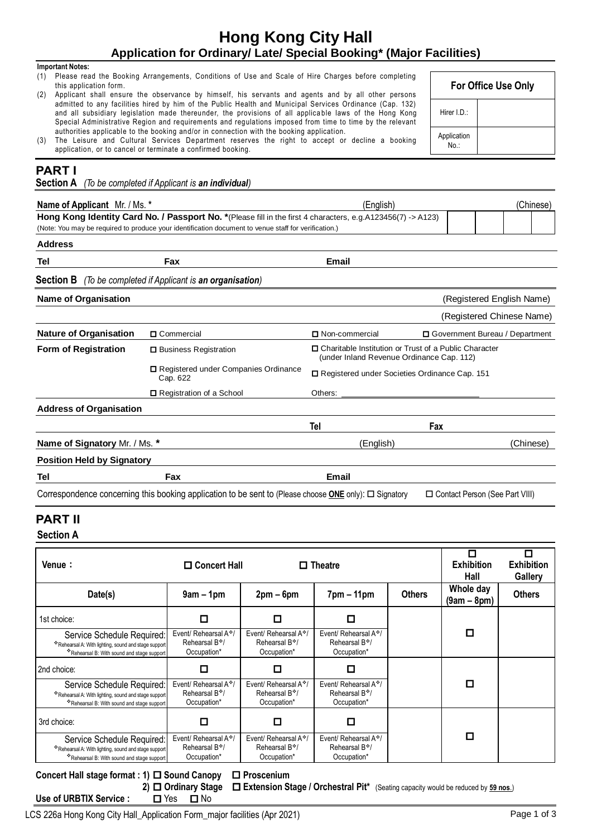## LCS 226a Hong Kong City Hall\_Application Form\_major facilities (Apr 2021) Page 1 of 3

# **Hong Kong City Hall Application for Ordinary/ Late/ Special Booking\* (Major Facilities)**

### **Important Notes:**

- (1) Please read the Booking Arrangements, Conditions of Use and Scale of Hire Charges before completing this application form.
- (2) Applicant shall ensure the observance by himself, his servants and agents and by all other persons admitted to any facilities hired by him of the Public Health and Municipal Services Ordinance (Cap. 132) and all subsidiary legislation made thereunder, the provisions of all applica ble laws of the Hong Kong Special Administrative Region and requirements and regulations imposed from time to time by the relevant authorities applicable to the booking and/or in connection with the booking application.
- (3) The Leisure and Cultural Services Department reserves the right to accept or decline a booking application, or to cancel or terminate a confirmed booking.

# **PART I**

**Section A** *(To be completed if Applicant is an individual)*

| Name of Applicant Mr. / Ms. *                                                                                                                                                                                        |                                                                                                                                        |                                                   | (English) |                                                 |               | (Chinese)                        |                                     |
|----------------------------------------------------------------------------------------------------------------------------------------------------------------------------------------------------------------------|----------------------------------------------------------------------------------------------------------------------------------------|---------------------------------------------------|-----------|-------------------------------------------------|---------------|----------------------------------|-------------------------------------|
| Hong Kong Identity Card No. / Passport No. * (Please fill in the first 4 characters, e.g.A123456(7) -> A123)<br>(Note: You may be required to produce your identification document to venue staff for verification.) |                                                                                                                                        |                                                   |           |                                                 |               |                                  |                                     |
|                                                                                                                                                                                                                      |                                                                                                                                        |                                                   |           |                                                 |               |                                  |                                     |
| <b>Address</b>                                                                                                                                                                                                       |                                                                                                                                        |                                                   |           |                                                 |               |                                  |                                     |
| <b>Tel</b>                                                                                                                                                                                                           |                                                                                                                                        | Fax                                               |           | <b>Email</b>                                    |               |                                  |                                     |
| <b>Section B</b>                                                                                                                                                                                                     |                                                                                                                                        | (To be completed if Applicant is an organisation) |           |                                                 |               |                                  |                                     |
| <b>Name of Organisation</b>                                                                                                                                                                                          |                                                                                                                                        |                                                   |           |                                                 |               | (Registered English Name)        |                                     |
|                                                                                                                                                                                                                      |                                                                                                                                        |                                                   |           |                                                 |               | (Registered Chinese Name)        |                                     |
| <b>Nature of Organisation</b>                                                                                                                                                                                        | □ Commercial                                                                                                                           |                                                   |           | □ Non-commercial                                |               | □ Government Bureau / Department |                                     |
| Form of Registration                                                                                                                                                                                                 | □ Charitable Institution or Trust of a Public Character<br><b>□</b> Business Registration<br>(under Inland Revenue Ordinance Cap. 112) |                                                   |           |                                                 |               |                                  |                                     |
| Cap. 622<br>□ Registration of a School                                                                                                                                                                               |                                                                                                                                        | □ Registered under Companies Ordinance            |           | □ Registered under Societies Ordinance Cap. 151 |               |                                  |                                     |
|                                                                                                                                                                                                                      |                                                                                                                                        |                                                   | Others:   |                                                 |               |                                  |                                     |
| <b>Address of Organisation</b>                                                                                                                                                                                       |                                                                                                                                        |                                                   |           |                                                 |               |                                  |                                     |
|                                                                                                                                                                                                                      |                                                                                                                                        |                                                   |           | Tel                                             | Fax           |                                  |                                     |
| Name of Signatory Mr. / Ms. *                                                                                                                                                                                        |                                                                                                                                        |                                                   | (English) |                                                 |               | (Chinese)                        |                                     |
| <b>Position Held by Signatory</b>                                                                                                                                                                                    |                                                                                                                                        |                                                   |           |                                                 |               |                                  |                                     |
| Tel                                                                                                                                                                                                                  | Fax                                                                                                                                    |                                                   |           | <b>Email</b>                                    |               |                                  |                                     |
| Correspondence concerning this booking application to be sent to (Please choose <b>ONE</b> only): $\square$ Signatory                                                                                                |                                                                                                                                        |                                                   |           |                                                 |               | □ Contact Person (See Part VIII) |                                     |
| <b>PART II</b>                                                                                                                                                                                                       |                                                                                                                                        |                                                   |           |                                                 |               |                                  |                                     |
| <b>Section A</b>                                                                                                                                                                                                     |                                                                                                                                        |                                                   |           |                                                 |               |                                  |                                     |
|                                                                                                                                                                                                                      |                                                                                                                                        |                                                   |           |                                                 |               | $\Box$                           | П                                   |
| Venue:                                                                                                                                                                                                               |                                                                                                                                        | □ Concert Hall                                    |           | $\Box$ Theatre                                  |               | <b>Exhibition</b><br>Hall        | <b>Exhibition</b><br><b>Gallery</b> |
| Date(s)                                                                                                                                                                                                              |                                                                                                                                        | $9am - 1pm$                                       | $2pm-6pm$ | $7pm - 11pm$                                    | <b>Others</b> | Whole day<br>$(9am - 8pm)$       | <b>Others</b>                       |
| 1st choice:                                                                                                                                                                                                          |                                                                                                                                        | ◘                                                 | □         | □                                               |               |                                  |                                     |
|                                                                                                                                                                                                                      |                                                                                                                                        |                                                   | $1.8 - 1$ |                                                 |               | ш                                |                                     |



**2) Ordinary Stage Extension Stage / Orchestral Pit\*** (Seating capacity would be reduced by **59 nos**.) Use of URBTIX Service : □ Yes □ No

| For Office Use Only |  |  |  |
|---------------------|--|--|--|
| Hirer I.D.:         |  |  |  |
| Application         |  |  |  |

No.: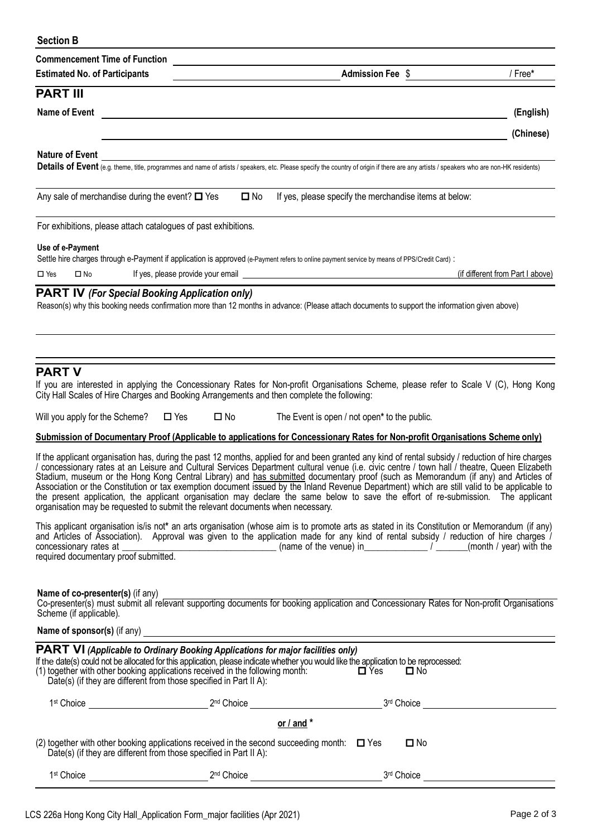| <b>Section B</b>                                                                                                                                                        |                                                                    |                                                                                                                                                                                                                                                                                                                                                                                                                                                                                                                                                                                                                                                                                                                               |                                  |
|-------------------------------------------------------------------------------------------------------------------------------------------------------------------------|--------------------------------------------------------------------|-------------------------------------------------------------------------------------------------------------------------------------------------------------------------------------------------------------------------------------------------------------------------------------------------------------------------------------------------------------------------------------------------------------------------------------------------------------------------------------------------------------------------------------------------------------------------------------------------------------------------------------------------------------------------------------------------------------------------------|----------------------------------|
| <b>Commencement Time of Function</b>                                                                                                                                    |                                                                    |                                                                                                                                                                                                                                                                                                                                                                                                                                                                                                                                                                                                                                                                                                                               |                                  |
| <b>Estimated No. of Participants</b>                                                                                                                                    |                                                                    | <b>Admission Fee \$</b>                                                                                                                                                                                                                                                                                                                                                                                                                                                                                                                                                                                                                                                                                                       | / Free*                          |
| <b>PART III</b>                                                                                                                                                         |                                                                    |                                                                                                                                                                                                                                                                                                                                                                                                                                                                                                                                                                                                                                                                                                                               |                                  |
| <b>Name of Event</b>                                                                                                                                                    |                                                                    |                                                                                                                                                                                                                                                                                                                                                                                                                                                                                                                                                                                                                                                                                                                               | (English)                        |
|                                                                                                                                                                         |                                                                    |                                                                                                                                                                                                                                                                                                                                                                                                                                                                                                                                                                                                                                                                                                                               | (Chinese)                        |
| <b>Nature of Event</b>                                                                                                                                                  |                                                                    |                                                                                                                                                                                                                                                                                                                                                                                                                                                                                                                                                                                                                                                                                                                               |                                  |
|                                                                                                                                                                         |                                                                    | Details of Event (e.g. theme, title, programmes and name of artists / speakers, etc. Please specify the country of origin if there are any artists / speakers who are non-HK residents)                                                                                                                                                                                                                                                                                                                                                                                                                                                                                                                                       |                                  |
| Any sale of merchandise during the event? $\Box$ Yes                                                                                                                    | $\square$ No                                                       | If yes, please specify the merchandise items at below:                                                                                                                                                                                                                                                                                                                                                                                                                                                                                                                                                                                                                                                                        |                                  |
| For exhibitions, please attach catalogues of past exhibitions.                                                                                                          |                                                                    |                                                                                                                                                                                                                                                                                                                                                                                                                                                                                                                                                                                                                                                                                                                               |                                  |
| Use of e-Payment                                                                                                                                                        |                                                                    |                                                                                                                                                                                                                                                                                                                                                                                                                                                                                                                                                                                                                                                                                                                               |                                  |
|                                                                                                                                                                         |                                                                    | Settle hire charges through e-Payment if application is approved (e-Payment refers to online payment service by means of PPS/Credit Card) :                                                                                                                                                                                                                                                                                                                                                                                                                                                                                                                                                                                   |                                  |
| $\Box$ Yes<br>$\square$ No                                                                                                                                              |                                                                    | If yes, please provide your email <u>example and the set of the set of the set of the set of the set of the set of the set of the set of the set of the set of the set of the set of the set of the set of the set of the set of</u>                                                                                                                                                                                                                                                                                                                                                                                                                                                                                          | (if different from Part I above) |
| <b>PART IV (For Special Booking Application only)</b>                                                                                                                   |                                                                    | Reason(s) why this booking needs confirmation more than 12 months in advance: (Please attach documents to support the information given above)                                                                                                                                                                                                                                                                                                                                                                                                                                                                                                                                                                                |                                  |
|                                                                                                                                                                         |                                                                    |                                                                                                                                                                                                                                                                                                                                                                                                                                                                                                                                                                                                                                                                                                                               |                                  |
| <b>PART V</b><br>City Hall Scales of Hire Charges and Booking Arrangements and then complete the following:                                                             |                                                                    | If you are interested in applying the Concessionary Rates for Non-profit Organisations Scheme, please refer to Scale V (C), Hong Kong                                                                                                                                                                                                                                                                                                                                                                                                                                                                                                                                                                                         |                                  |
| Will you apply for the Scheme?                                                                                                                                          | $\Box$ Yes<br>$\square$ No                                         | The Event is open / not open* to the public.                                                                                                                                                                                                                                                                                                                                                                                                                                                                                                                                                                                                                                                                                  |                                  |
|                                                                                                                                                                         |                                                                    | Submission of Documentary Proof (Applicable to applications for Concessionary Rates for Non-profit Organisations Scheme only)                                                                                                                                                                                                                                                                                                                                                                                                                                                                                                                                                                                                 |                                  |
| organisation may be requested to submit the relevant documents when necessary.                                                                                          |                                                                    | If the applicant organisation has, during the past 12 months, applied for and been granted any kind of rental subsidy / reduction of hire charges<br>/ concessionary rates at an Leisure and Cultural Services Department cultural venue (i.e. civic centre / town hall / theatre, Queen Elizabeth<br>Stadium, museum or the Hong Kong Central Library) and has submitted documentary proof (such as Memorandum (if any) and Articles of<br>Association or the Constitution or tax exemption document issued by the Inland Revenue Department) which are still valid to be applicable to<br>the present application, the applicant organisation may declare the same below to save the effort of re-submission. The applicant |                                  |
|                                                                                                                                                                         |                                                                    | This applicant organisation is/is not* an arts organisation (whose aim is to promote arts as stated in its Constitution or Memorandum (if any)<br>and Articles of Association). Approval was given to the application made for any kind of rental subsidy / reduction of hire charges /<br>concessionary rates at <u>Constructed</u> Control of the venue) in the construction of the charges /<br>required documentary proof submitted.                                                                                                                                                                                                                                                                                      |                                  |
| Name of co-presenter(s) (if any)<br>Scheme (if applicable).                                                                                                             |                                                                    | Co-presenter(s) must submit all relevant supporting documents for booking application and Concessionary Rates for Non-profit Organisations                                                                                                                                                                                                                                                                                                                                                                                                                                                                                                                                                                                    |                                  |
| Name of sponsor(s) (if any)                                                                                                                                             |                                                                    |                                                                                                                                                                                                                                                                                                                                                                                                                                                                                                                                                                                                                                                                                                                               |                                  |
| <b>PART VI</b> (Applicable to Ordinary Booking Applications for major facilities only)<br>(1) together with other booking applications received in the following month: | Date(s) (if they are different from those specified in Part II A): | If the date(s) could not be allocated for this application, please indicate whether you would like the application to be reprocessed:<br>$\Box$ Yes<br>□ No                                                                                                                                                                                                                                                                                                                                                                                                                                                                                                                                                                   |                                  |
| 1 <sup>st</sup> Choice                                                                                                                                                  | 2 <sup>nd</sup> Choice                                             | 3rd Choice                                                                                                                                                                                                                                                                                                                                                                                                                                                                                                                                                                                                                                                                                                                    |                                  |

| (2) together with other booking applications received in the second succeeding month: $\Box$ Yes<br>Date(s) (if they are different from those specified in Part II A): |                        | □ No       |  |
|------------------------------------------------------------------------------------------------------------------------------------------------------------------------|------------------------|------------|--|
| 1 <sup>st</sup> Choice                                                                                                                                                 | 2 <sup>nd</sup> Choice | 3rd Choice |  |

**or / and \***